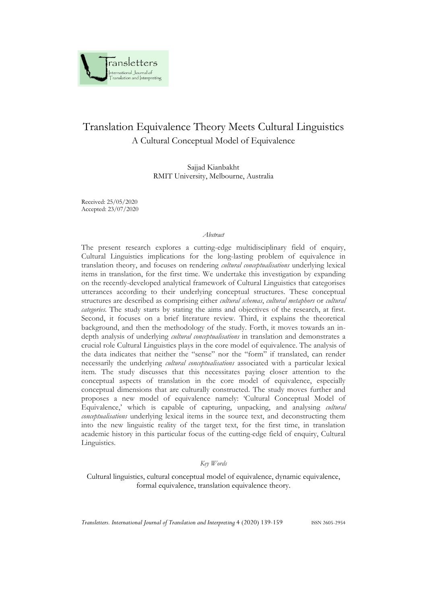

# Translation Equivalence Theory Meets Cultural Linguistics A Cultural Conceptual Model of Equivalence

Sajjad Kianbakht RMIT University, Melbourne, Australia

Received: 25/05/2020 Accepted: 23/07/2020

#### *Abstract*

The present research explores a cutting-edge multidisciplinary field of enquiry, Cultural Linguistics implications for the long-lasting problem of equivalence in translation theory, and focuses on rendering *cultural conceptualisations* underlying lexical items in translation, for the first time. We undertake this investigation by expanding on the recently-developed analytical framework of Cultural Linguistics that categorises utterances according to their underlying conceptual structures. These conceptual structures are described as comprising either *cultural schemas*, *cultural metaphors* or *cultural categories*. The study starts by stating the aims and objectives of the research, at first. Second, it focuses on a brief literature review. Third, it explains the theoretical background, and then the methodology of the study. Forth, it moves towards an indepth analysis of underlying *cultural conceptualisations* in translation and demonstrates a crucial role Cultural Linguistics plays in the core model of equivalence. The analysis of the data indicates that neither the "sense" nor the "form" if translated, can render necessarily the underlying *cultural conceptualisations* associated with a particular lexical item. The study discusses that this necessitates paying closer attention to the conceptual aspects of translation in the core model of equivalence, especially conceptual dimensions that are culturally constructed. The study moves further and proposes a new model of equivalence namely: 'Cultural Conceptual Model of Equivalence,' which is capable of capturing, unpacking, and analysing *cultural conceptualisations* underlying lexical items in the source text, and deconstructing them into the new linguistic reality of the target text, for the first time, in translation academic history in this particular focus of the cutting-edge field of enquiry, Cultural Linguistics.

#### *Key Words*

Cultural linguistics, cultural conceptual model of equivalence, dynamic equivalence, formal equivalence, translation equivalence theory.

*Transletters. International Journal of Translation and Interpreting* 4 (2020) 139-159 ISSN 2605-2954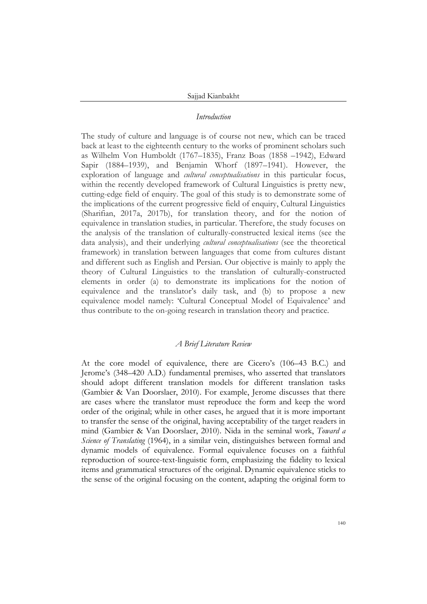#### *Introduction*

The study of culture and language is of course not new, which can be traced back at least to the eighteenth century to the works of prominent scholars such as Wilhelm Von Humboldt (1767–1835), Franz Boas (1858 –1942), Edward Sapir (1884–1939), and Benjamin Whorf (1897–1941). However, the exploration of language and *cultural conceptualisations* in this particular focus, within the recently developed framework of Cultural Linguistics is pretty new, cutting-edge field of enquiry. The goal of this study is to demonstrate some of the implications of the current progressive field of enquiry, Cultural Linguistics (Sharifian, 2017a, 2017b), for translation theory, and for the notion of equivalence in translation studies, in particular. Therefore, the study focuses on the analysis of the translation of culturally-constructed lexical items (see the data analysis), and their underlying *cultural conceptualisations* (see the theoretical framework) in translation between languages that come from cultures distant and different such as English and Persian. Our objective is mainly to apply the theory of Cultural Linguistics to the translation of culturally-constructed elements in order (a) to demonstrate its implications for the notion of equivalence and the translator's daily task, and (b) to propose a new equivalence model namely: 'Cultural Conceptual Model of Equivalence' and thus contribute to the on-going research in translation theory and practice.

#### *A Brief Literature Review*

At the core model of equivalence, there are Cicero's (106–43 B.C.) and Jerome's (348–420 A.D.) fundamental premises, who asserted that translators should adopt different translation models for different translation tasks (Gambier & Van Doorslaer, 2010). For example, Jerome discusses that there are cases where the translator must reproduce the form and keep the word order of the original; while in other cases, he argued that it is more important to transfer the sense of the original, having acceptability of the target readers in mind (Gambier & Van Doorslaer, 2010). Nida in the seminal work, *Toward a Science of Translating* (1964), in a similar vein, distinguishes between formal and dynamic models of equivalence. Formal equivalence focuses on a faithful reproduction of source-text-linguistic form, emphasizing the fidelity to lexical items and grammatical structures of the original. Dynamic equivalence sticks to the sense of the original focusing on the content, adapting the original form to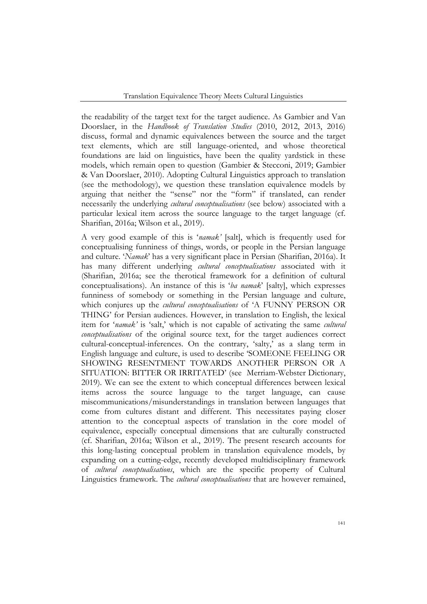the readability of the target text for the target audience. As Gambier and Van Doorslaer, in the *Handbook of Translation Studies* (2010, 2012, 2013, 2016) discuss, formal and dynamic equivalences between the source and the target text elements, which are still language-oriented, and whose theoretical foundations are laid on linguistics, have been the quality yardstick in these models, which remain open to question (Gambier & Stecconi, 2019; Gambier & Van Doorslaer, 2010). Adopting Cultural Linguistics approach to translation (see the methodology), we question these translation equivalence models by arguing that neither the "sense" nor the "form" if translated, can render necessarily the underlying *cultural conceptualisations* (see below) associated with a particular lexical item across the source language to the target language (cf. Sharifian, 2016a; Wilson et al., 2019).

A very good example of this is '*namak'* [salt], which is frequently used for conceptualising funniness of things, words, or people in the Persian language and culture. '*Namak*' has a very significant place in Persian (Sharifian, 2016a). It has many different underlying *cultural conceptualisations* associated with it (Sharifian, 2016a; see the therotical framework for a definition of cultural conceptualisations). An instance of this is '*ba namak*' [salty], which expresses funniness of somebody or something in the Persian language and culture, which conjures up the *cultural conceptualisations* of 'A FUNNY PERSON OR THING' for Persian audiences. However, in translation to English, the lexical item for '*namak'* is 'salt,' which is not capable of activating the same *cultural conceptualisations* of the original source text, for the target audiences correct cultural-conceptual-inferences. On the contrary, 'salty,' as a slang term in English language and culture, is used to describe 'SOMEONE FEELING OR SHOWING RESENTMENT TOWARDS ANOTHER PERSON OR A SITUATION: BITTER OR IRRITATED' (see Merriam-Webster Dictionary, 2019). We can see the extent to which conceptual differences between lexical items across the source language to the target language, can cause miscommunications/misunderstandings in translation between languages that come from cultures distant and different. This necessitates paying closer attention to the conceptual aspects of translation in the core model of equivalence, especially conceptual dimensions that are culturally constructed (cf. Sharifian, 2016a; Wilson et al., 2019). The present research accounts for this long-lasting conceptual problem in translation equivalence models, by expanding on a cutting-edge, recently developed multidisciplinary framework of *cultural conceptualisations*, which are the specific property of Cultural Linguistics framework. The *cultural conceptualisations* that are however remained,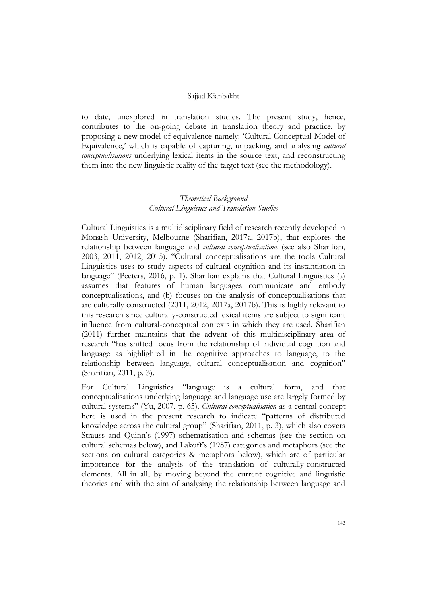#### Sajjad Kianbakht

to date, unexplored in translation studies. The present study, hence, contributes to the on-going debate in translation theory and practice, by proposing a new model of equivalence namely: 'Cultural Conceptual Model of Equivalence,' which is capable of capturing, unpacking, and analysing *cultural conceptualisations* underlying lexical items in the source text, and reconstructing them into the new linguistic reality of the target text (see the methodology).

# *Theoretical Background Cultural Linguistics and Translation Studies*

Cultural Linguistics is a multidisciplinary field of research recently developed in Monash University, Melbourne (Sharifian, 2017a, 2017b), that explores the relationship between language and *cultural conceptualisations* (see also Sharifian, 2003, 2011, 2012, 2015). "Cultural conceptualisations are the tools Cultural Linguistics uses to study aspects of cultural cognition and its instantiation in language" (Peeters, 2016, p. 1). Sharifian explains that Cultural Linguistics (a) assumes that features of human languages communicate and embody conceptualisations, and (b) focuses on the analysis of conceptualisations that are culturally constructed (2011, 2012, 2017a, 2017b). This is highly relevant to this research since culturally-constructed lexical items are subject to significant influence from cultural-conceptual contexts in which they are used. Sharifian (2011) further maintains that the advent of this multidisciplinary area of research "has shifted focus from the relationship of individual cognition and language as highlighted in the cognitive approaches to language, to the relationship between language, cultural conceptualisation and cognition" (Sharifian, 2011, p. 3).

For Cultural Linguistics "language is a cultural form, and that conceptualisations underlying language and language use are largely formed by cultural systems" (Yu, 2007, p. 65). *Cultural conceptualisation* as a central concept here is used in the present research to indicate "patterns of distributed knowledge across the cultural group" (Sharifian, 2011, p. 3), which also covers Strauss and Quinn's (1997) schematisation and schemas (see the section on cultural schemas below), and Lakoff's (1987) categories and metaphors (see the sections on cultural categories & metaphors below), which are of particular importance for the analysis of the translation of culturally-constructed elements. All in all, by moving beyond the current cognitive and linguistic theories and with the aim of analysing the relationship between language and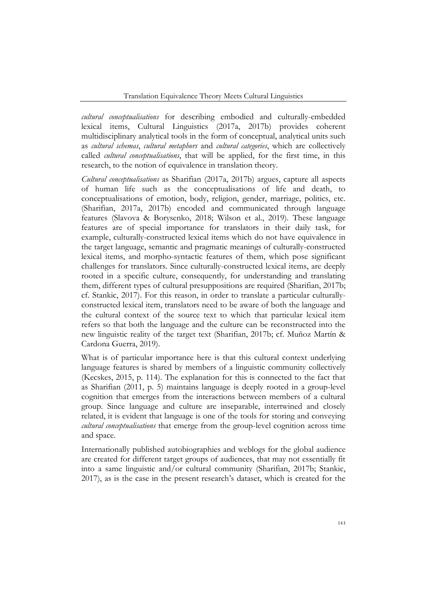*cultural conceptualisations* for describing embodied and culturally-embedded lexical items, Cultural Linguistics (2017a, 2017b) provides coherent multidisciplinary analytical tools in the form of conceptual, analytical units such as *cultural schemas*, *cultural metaphors* and *cultural categories*, which are collectively called *cultural conceptualisations*, that will be applied, for the first time, in this research, to the notion of equivalence in translation theory.

*Cultural conceptualisations* as Sharifian (2017a, 2017b) argues, capture all aspects of human life such as the conceptualisations of life and death, to conceptualisations of emotion, body, religion, gender, marriage, politics, etc. (Sharifian, 2017a, 2017b) encoded and communicated through language features (Slavova & Borysenko, 2018; Wilson et al., 2019). These language features are of special importance for translators in their daily task, for example, culturally-constructed lexical items which do not have equivalence in the target language, semantic and pragmatic meanings of culturally-constructed lexical items, and morpho-syntactic features of them, which pose significant challenges for translators. Since culturally-constructed lexical items, are deeply rooted in a specific culture, consequently, for understanding and translating them, different types of cultural presuppositions are required (Sharifian, 2017b; cf. Stankic, 2017). For this reason, in order to translate a particular culturallyconstructed lexical item, translators need to be aware of both the language and the cultural context of the source text to which that particular lexical item refers so that both the language and the culture can be reconstructed into the new linguistic reality of the target text (Sharifian, 2017b; cf. Muñoz Martín & Cardona Guerra, 2019).

What is of particular importance here is that this cultural context underlying language features is shared by members of a linguistic community collectively (Kecskes, 2015, p. 114). The explanation for this is connected to the fact that as Sharifian (2011, p. 5) maintains language is deeply rooted in a group-level cognition that emerges from the interactions between members of a cultural group. Since language and culture are inseparable, intertwined and closely related, it is evident that language is one of the tools for storing and conveying *cultural conceptualisations* that emerge from the group-level cognition across time and space.

Internationally published autobiographies and weblogs for the global audience are created for different target groups of audiences, that may not essentially fit into a same linguistic and/or cultural community (Sharifian, 2017b; Stankic, 2017), as is the case in the present research's dataset, which is created for the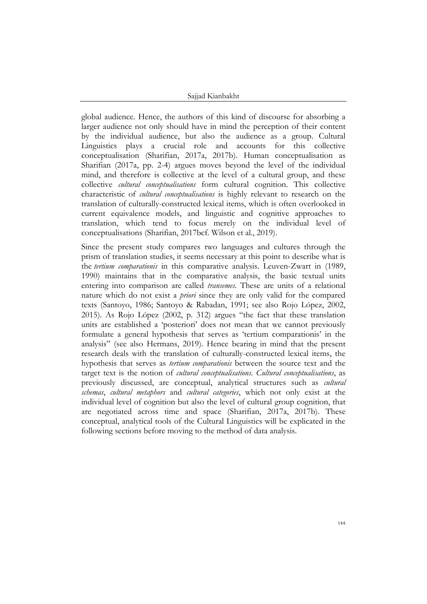Sajjad Kianbakht

global audience. Hence, the authors of this kind of discourse for absorbing a larger audience not only should have in mind the perception of their content by the individual audience, but also the audience as a group. Cultural Linguistics plays a crucial role and accounts for this collective conceptualisation (Sharifian, 2017a, 2017b). Human conceptualisation as Sharifian (2017a, pp. 2-4) argues moves beyond the level of the individual mind, and therefore is collective at the level of a cultural group, and these collective *cultural conceptualisations* form cultural cognition. This collective characteristic of *cultural conceptualisations* is highly relevant to research on the translation of culturally-constructed lexical items, which is often overlooked in current equivalence models, and linguistic and cognitive approaches to translation, which tend to focus merely on the individual level of conceptualisations (Sharifian, 2017bcf. Wilson et al., 2019).

Since the present study compares two languages and cultures through the prism of translation studies, it seems necessary at this point to describe what is the *tertium comparationis* in this comparative analysis. Leuven-Zwart in (1989, 1990) maintains that in the comparative analysis, the basic textual units entering into comparison are called *transemes*. These are units of a relational nature which do not exist a *priori* since they are only valid for the compared texts (Santoyo, 1986; Santoyo & Rabadan, 1991; see also Rojo López, 2002, 2015). As Rojo López (2002, p. 312) argues "the fact that these translation units are established a 'posteriori' does not mean that we cannot previously formulate a general hypothesis that serves as 'tertium comparationis' in the analysis" (see also Hermans, 2019). Hence bearing in mind that the present research deals with the translation of culturally-constructed lexical items, the hypothesis that serves as *tertium comparationis* between the source text and the target text is the notion of *cultural conceptualisations*. *Cultural conceptualisations*, as previously discussed, are conceptual, analytical structures such as *cultural schemas*, *cultural metaphors* and *cultural categories*, which not only exist at the individual level of cognition but also the level of cultural group cognition, that are negotiated across time and space (Sharifian, 2017a, 2017b). These conceptual, analytical tools of the Cultural Linguistics will be explicated in the following sections before moving to the method of data analysis.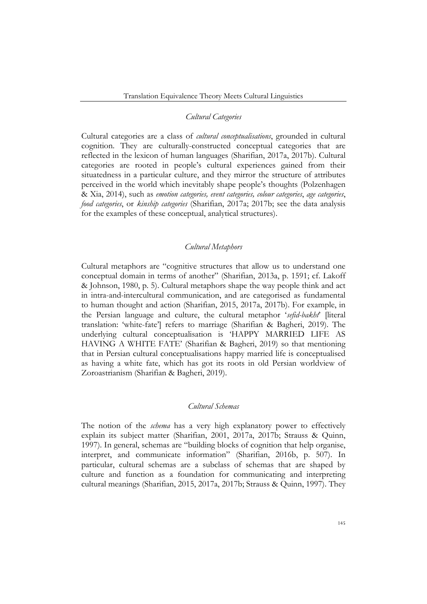#### *Cultural Categories*

Cultural categories are a class of *cultural conceptualisations*, grounded in cultural cognition. They are culturally-constructed conceptual categories that are reflected in the lexicon of human languages (Sharifian, 2017a, 2017b). Cultural categories are rooted in people's cultural experiences gained from their situatedness in a particular culture, and they mirror the structure of attributes perceived in the world which inevitably shape people's thoughts (Polzenhagen & Xia, 2014), such as *emotion categories, event categories, colour categories*, *age categories*, *food categories*, or *kinship categories* (Sharifian, 2017a; 2017b; see the data analysis for the examples of these conceptual, analytical structures).

# *Cultural Metaphors*

Cultural metaphors are "cognitive structures that allow us to understand one conceptual domain in terms of another" (Sharifian, 2013a, p. 1591; cf. Lakoff & Johnson, 1980, p. 5). Cultural metaphors shape the way people think and act in intra-and-intercultural communication, and are categorised as fundamental to human thought and action (Sharifian, 2015, 2017a, 2017b). For example, in the Persian language and culture, the cultural metaphor '*sefid-bakht*' [literal translation: 'white-fate'] refers to marriage (Sharifian & Bagheri, 2019). The underlying cultural conceptualisation is 'HAPPY MARRIED LIFE AS HAVING A WHITE FATE' (Sharifian & Bagheri, 2019) so that mentioning that in Persian cultural conceptualisations happy married life is conceptualised as having a white fate, which has got its roots in old Persian worldview of Zoroastrianism (Sharifian & Bagheri, 2019).

# *Cultural Schemas*

The notion of the *schema* has a very high explanatory power to effectively explain its subject matter (Sharifian, 2001, 2017a, 2017b; Strauss & Quinn, 1997). In general, schemas are "building blocks of cognition that help organise, interpret, and communicate information" (Sharifian, 2016b, p. 507). In particular, cultural schemas are a subclass of schemas that are shaped by culture and function as a foundation for communicating and interpreting cultural meanings (Sharifian, 2015, 2017a, 2017b; Strauss & Quinn, 1997). They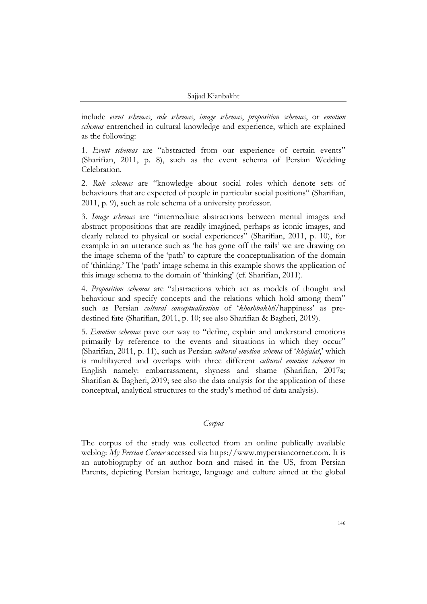include *event schemas*, *role schemas*, *image schemas*, *proposition schemas*, or *emotion schemas* entrenched in cultural knowledge and experience, which are explained as the following:

1. *Event schemas* are "abstracted from our experience of certain events" (Sharifian, 2011, p. 8), such as the event schema of Persian Wedding Celebration.

2. *Role schemas* are "knowledge about social roles which denote sets of behaviours that are expected of people in particular social positions" (Sharifian, 2011, p. 9), such as role schema of a university professor.

3. *Image schemas* are "intermediate abstractions between mental images and abstract propositions that are readily imagined, perhaps as iconic images, and clearly related to physical or social experiences" (Sharifian, 2011, p. 10), for example in an utterance such as 'he has gone off the rails' we are drawing on the image schema of the 'path' to capture the conceptualisation of the domain of 'thinking.' The 'path' image schema in this example shows the application of this image schema to the domain of 'thinking' (cf. Sharifian, 2011).

4. *Proposition schemas* are "abstractions which act as models of thought and behaviour and specify concepts and the relations which hold among them" such as Persian *cultural conceptualisation* of '*khoshbakhti*/happiness' as predestined fate (Sharifian, 2011, p. 10; see also Sharifian & Bagheri, 2019).

5. *Emotion schemas* pave our way to "define, explain and understand emotions primarily by reference to the events and situations in which they occur" (Sharifian, 2011, p. 11), such as Persian *cultural emotion schema* of '*khejālat*,' which is multilayered and overlaps with three different *cultural emotion schemas* in English namely: embarrassment, shyness and shame (Sharifian, 2017a; Sharifian & Bagheri, 2019; see also the data analysis for the application of these conceptual, analytical structures to the study's method of data analysis).

#### *Corpus*

The corpus of the study was collected from an online publically available weblog: *My Persian Corner* accessed via [https://www.mypersiancorner.com.](https://www.mypersiancorner.com/) It is an autobiography of an author born and raised in the US, from Persian Parents, depicting Persian heritage, language and culture aimed at the global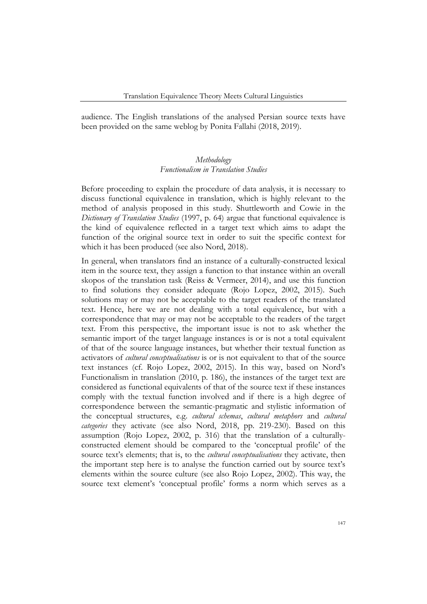audience. The English translations of the analysed Persian source texts have been provided on the same weblog by Ponita Fallahi (2018, 2019).

# *Methodology Functionalism in Translation Studies*

Before proceeding to explain the procedure of data analysis, it is necessary to discuss functional equivalence in translation, which is highly relevant to the method of analysis proposed in this study. Shuttleworth and Cowie in the *Dictionary of Translation Studies* (1997, p. 64) argue that functional equivalence is the kind of equivalence reflected in a target text which aims to adapt the function of the original source text in order to suit the specific context for which it has been produced (see also Nord, 2018).

In general, when translators find an instance of a culturally-constructed lexical item in the source text, they assign a function to that instance within an overall skopos of the translation task (Reiss & Vermeer, 2014), and use this function to find solutions they consider adequate (Rojo Lopez, 2002, 2015). Such solutions may or may not be acceptable to the target readers of the translated text. Hence, here we are not dealing with a total equivalence, but with a correspondence that may or may not be acceptable to the readers of the target text. From this perspective, the important issue is not to ask whether the semantic import of the target language instances is or is not a total equivalent of that of the source language instances, but whether their textual function as activators of *cultural conceptualisations* is or is not equivalent to that of the source text instances (cf. Rojo Lopez, 2002, 2015). In this way, based on Nord's Functionalism in translation (2010, p. 186), the instances of the target text are considered as functional equivalents of that of the source text if these instances comply with the textual function involved and if there is a high degree of correspondence between the semantic-pragmatic and stylistic information of the conceptual structures, e.g. *cultural schemas*, *cultural metaphors* and *cultural categories* they activate (see also Nord, 2018, pp. 219-230). Based on this assumption (Rojo Lopez, 2002, p. 316) that the translation of a culturallyconstructed element should be compared to the 'conceptual profile' of the source text's elements; that is, to the *cultural conceptualisations* they activate, then the important step here is to analyse the function carried out by source text's elements within the source culture (see also Rojo Lopez, 2002). This way, the source text element's 'conceptual profile' forms a norm which serves as a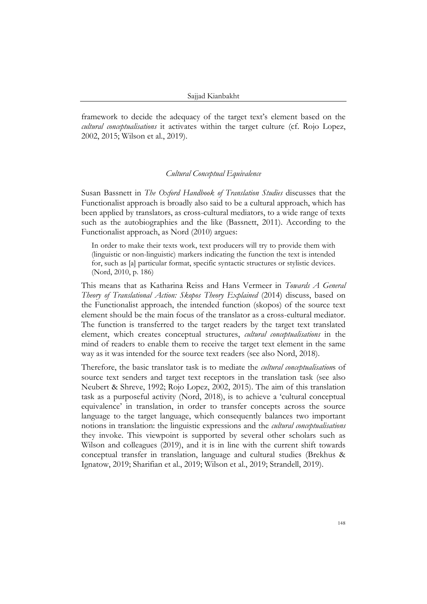framework to decide the adequacy of the target text's element based on the *cultural conceptualisations* it activates within the target culture (cf. Rojo Lopez, 2002, 2015; Wilson et al., 2019).

#### *Cultural Conceptual Equivalence*

Susan Bassnett in *The Oxford Handbook of Translation Studies* discusses that the Functionalist approach is broadly also said to be a cultural approach, which has been applied by translators, as cross-cultural mediators, to a wide range of texts such as the autobiographies and the like (Bassnett, 2011). According to the Functionalist approach, as Nord (2010) argues:

In order to make their texts work, text producers will try to provide them with (linguistic or non-linguistic) markers indicating the function the text is intended for, such as [a] particular format, specific syntactic structures or stylistic devices. (Nord, 2010, p. 186)

This means that as Katharina Reiss and Hans Vermeer in *Towards A General Theory of Translational Action: Skopos Theory Explained* (2014) discuss, based on the Functionalist approach, the intended function (skopos) of the source text element should be the main focus of the translator as a cross-cultural mediator. The function is transferred to the target readers by the target text translated element, which creates conceptual structures, *cultural conceptualisations* in the mind of readers to enable them to receive the target text element in the same way as it was intended for the source text readers (see also Nord, 2018).

Therefore, the basic translator task is to mediate the *cultural conceptualisation*s of source text senders and target text receptors in the translation task (see also Neubert & Shreve, 1992; Rojo Lopez, 2002, 2015). The aim of this translation task as a purposeful activity (Nord, 2018), is to achieve a 'cultural conceptual equivalence' in translation, in order to transfer concepts across the source language to the target language, which consequently balances two important notions in translation: the linguistic expressions and the *cultural conceptualisations* they invoke. This viewpoint is supported by several other scholars such as Wilson and colleagues (2019), and it is in line with the current shift towards conceptual transfer in translation, language and cultural studies (Brekhus & Ignatow, 2019; Sharifian et al., 2019; Wilson et al., 2019; Strandell, 2019).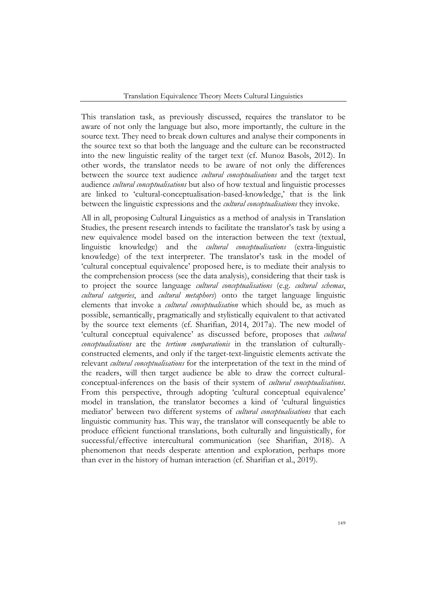This translation task, as previously discussed, requires the translator to be aware of not only the language but also, more importantly, the culture in the source text. They need to break down cultures and analyse their components in the source text so that both the language and the culture can be reconstructed into the new linguistic reality of the target text (cf. Munoz Basols, 2012). In other words, the translator needs to be aware of not only the differences between the source text audience *cultural conceptualisations* and the target text audience *cultural conceptualisations* but also of how textual and linguistic processes are linked to 'cultural-conceptualisation-based-knowledge,' that is the link between the linguistic expressions and the *cultural conceptualisations* they invoke.

All in all, proposing Cultural Linguistics as a method of analysis in Translation Studies, the present research intends to facilitate the translator's task by using a new equivalence model based on the interaction between the text (textual, linguistic knowledge) and the *cultural conceptualisations* (extra-linguistic knowledge) of the text interpreter. The translator's task in the model of 'cultural conceptual equivalence' proposed here, is to mediate their analysis to the comprehension process (see the data analysis), considering that their task is to project the source language *cultural conceptualisations* (e.g. *cultural schemas*, *cultural categories*, and *cultural metaphors*) onto the target language linguistic elements that invoke a *cultural conceptualisation* which should be, as much as possible, semantically, pragmatically and stylistically equivalent to that activated by the source text elements (cf. Sharifian, 2014, 2017a). The new model of 'cultural conceptual equivalence' as discussed before, proposes that *cultural conceptualisations* are the *tertium comparationis* in the translation of culturallyconstructed elements, and only if the target-text-linguistic elements activate the relevant *cultural conceptualisations* for the interpretation of the text in the mind of the readers, will then target audience be able to draw the correct culturalconceptual-inferences on the basis of their system of *cultural conceptualisations*. From this perspective, through adopting 'cultural conceptual equivalence' model in translation, the translator becomes a kind of 'cultural linguistics mediator' between two different systems of *cultural conceptualisations* that each linguistic community has. This way, the translator will consequently be able to produce efficient functional translations, both culturally and linguistically, for successful/effective intercultural communication (see Sharifian, 2018). A phenomenon that needs desperate attention and exploration, perhaps more than ever in the history of human interaction (cf. Sharifian et al., 2019).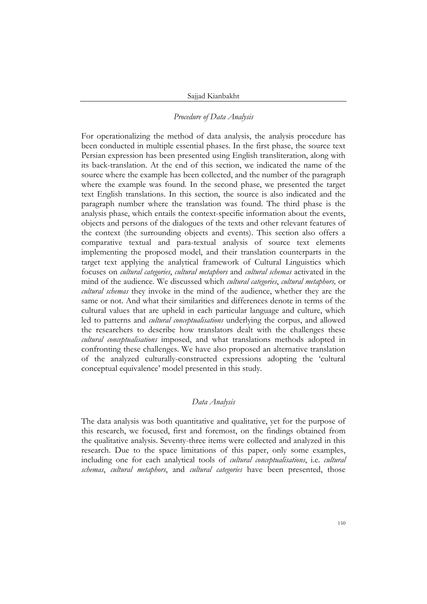## *Procedure of Data Analysis*

For operationalizing the method of data analysis, the analysis procedure has been conducted in multiple essential phases. In the first phase, the source text Persian expression has been presented using English transliteration, along with its back-translation. At the end of this section, we indicated the name of the source where the example has been collected, and the number of the paragraph where the example was found. In the second phase, we presented the target text English translations. In this section, the source is also indicated and the paragraph number where the translation was found. The third phase is the analysis phase, which entails the context-specific information about the events, objects and persons of the dialogues of the texts and other relevant features of the context (the surrounding objects and events). This section also offers a comparative textual and para-textual analysis of source text elements implementing the proposed model, and their translation counterparts in the target text applying the analytical framework of Cultural Linguistics which focuses on *cultural categories*, *cultural metaphors* and *cultural schemas* activated in the mind of the audience. We discussed which *cultural categories*, *cultural metaphors,* or *cultural schemas* they invoke in the mind of the audience, whether they are the same or not. And what their similarities and differences denote in terms of the cultural values that are upheld in each particular language and culture, which led to patterns and *cultural conceptualisations* underlying the corpus, and allowed the researchers to describe how translators dealt with the challenges these *cultural conceptualisations* imposed, and what translations methods adopted in confronting these challenges. We have also proposed an alternative translation of the analyzed culturally-constructed expressions adopting the 'cultural conceptual equivalence' model presented in this study.

#### *Data Analysis*

The data analysis was both quantitative and qualitative, yet for the purpose of this research, we focused, first and foremost, on the findings obtained from the qualitative analysis. Seventy-three items were collected and analyzed in this research. Due to the space limitations of this paper, only some examples, including one for each analytical tools of *cultural conceptualisations*, i.e. *cultural schemas*, *cultural metaphors*, and *cultural categories* have been presented, those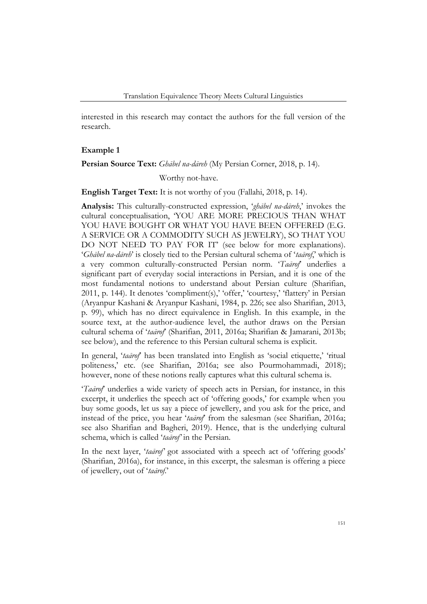interested in this research may contact the authors for the full version of the research.

#### **Example 1**

### **Persian Source Text:** *Ghābel na-dāreh* (My Persian Corner, 2018, p. 14).

# Worthy not-have.

# **English Target Text:** It is not worthy of you (Fallahi, 2018, p. 14).

**Analysis:** This culturally-constructed expression, '*ghābel na-dāreh*,' invokes the cultural conceptualisation, 'YOU ARE MORE PRECIOUS THAN WHAT YOU HAVE BOUGHT OR WHAT YOU HAVE BEEN OFFERED (E.G. A SERVICE OR A COMMODITY SUCH AS JEWELRY), SO THAT YOU DO NOT NEED TO PAY FOR IT' (see below for more explanations). '*Ghābel na-dāreh*' is closely tied to the Persian cultural schema of '*taārof*,' which is a very common culturally-constructed Persian norm. '*Taārof*' underlies a significant part of everyday social interactions in Persian, and it is one of the most fundamental notions to understand about Persian culture (Sharifian, 2011, p. 144). It denotes 'compliment(s),' 'offer,' 'courtesy,' 'flattery' in Persian (Aryanpur Kashani & Aryanpur Kashani, 1984, p. 226; see also Sharifian, 2013, p. 99), which has no direct equivalence in English. In this example, in the source text, at the author-audience level, the author draws on the Persian cultural schema of '*taārof*' (Sharifian, 2011, 2016a; Sharifian & Jamarani, 2013b; see below), and the reference to this Persian cultural schema is explicit.

In general, '*taārof*' has been translated into English as 'social etiquette,' 'ritual politeness,' etc. (see Sharifian, 2016a; see also Pourmohammadi, 2018); however, none of these notions really captures what this cultural schema is.

'*Taārof*' underlies a wide variety of speech acts in Persian, for instance, in this excerpt, it underlies the speech act of 'offering goods,' for example when you buy some goods, let us say a piece of jewellery, and you ask for the price, and instead of the price, you hear '*taārof*' from the salesman (see Sharifian, 2016a; see also Sharifian and Bagheri, 2019). Hence, that is the underlying cultural schema, which is called '*taārof'* in the Persian.

In the next layer, '*taārof'* got associated with a speech act of 'offering goods' (Sharifian, 2016a), for instance, in this excerpt, the salesman is offering a piece of jewellery, out of '*taārof*.'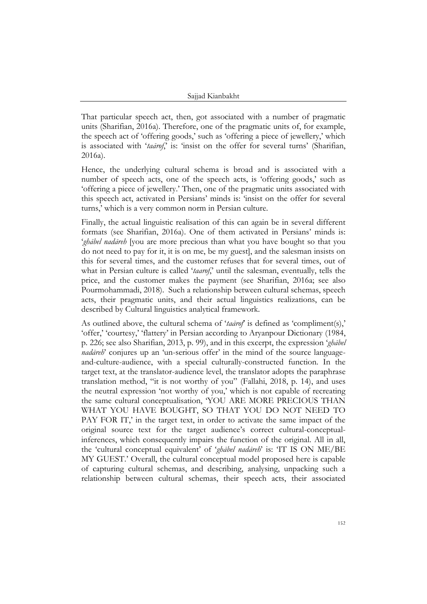That particular speech act, then, got associated with a number of pragmatic units (Sharifian, 2016a). Therefore, one of the pragmatic units of, for example, the speech act of 'offering goods,' such as 'offering a piece of jewellery,' which is associated with 'taarof', is: 'insist on the offer for several turns' (Sharifian, 2016a).

Hence, the underlying cultural schema is broad and is associated with a number of speech acts, one of the speech acts, is 'offering goods,' such as 'offering a piece of jewellery.' Then, one of the pragmatic units associated with this speech act, activated in Persians' minds is: 'insist on the offer for several turns,' which is a very common norm in Persian culture.

Finally, the actual linguistic realisation of this can again be in several different formats (see Sharifian, 2016a). One of them activated in Persians' minds is: '*ghābel nadāreh* [you are more precious than what you have bought so that you do not need to pay for it, it is on me, be my guest], and the salesman insists on this for several times, and the customer refuses that for several times, out of what in Persian culture is called '*taarof*,' until the salesman, eventually, tells the price, and the customer makes the payment (see Sharifian, 2016a; see also Pourmohammadi, 2018). Such a relationship between cultural schemas, speech acts, their pragmatic units, and their actual linguistics realizations, can be described by Cultural linguistics analytical framework.

As outlined above, the cultural schema of '*taārof*' is defined as 'compliment(s),' 'offer,' 'courtesy,' 'flattery' in Persian according to Aryanpour Dictionary (1984, p. 226; see also Sharifian, 2013, p. 99), and in this excerpt, the expression '*ghābel nadāreh*' conjures up an 'un-serious offer' in the mind of the source languageand-culture-audience, with a special culturally-constructed function. In the target text, at the translator-audience level, the translator adopts the paraphrase translation method, "it is not worthy of you" (Fallahi, 2018, p. 14), and uses the neutral expression 'not worthy of you,' which is not capable of recreating the same cultural conceptualisation, 'YOU ARE MORE PRECIOUS THAN WHAT YOU HAVE BOUGHT, SO THAT YOU DO NOT NEED TO PAY FOR IT,' in the target text, in order to activate the same impact of the original source text for the target audience's correct cultural-conceptualinferences, which consequently impairs the function of the original. All in all, the 'cultural conceptual equivalent' of '*ghābel nadāreh*' is: 'IT IS ON ME/BE MY GUEST.' Overall, the cultural conceptual model proposed here is capable of capturing cultural schemas, and describing, analysing, unpacking such a relationship between cultural schemas, their speech acts, their associated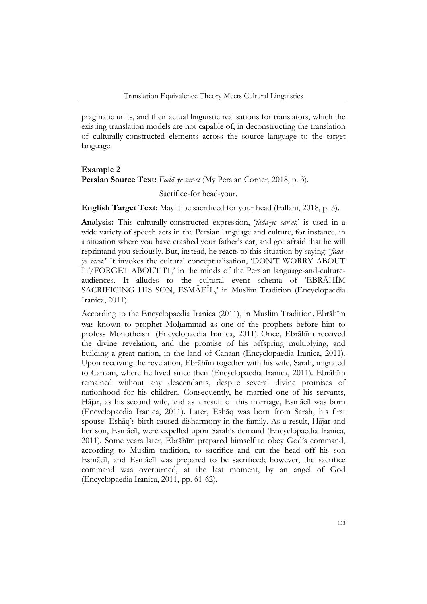pragmatic units, and their actual linguistic realisations for translators, which the existing translation models are not capable of, in deconstructing the translation of culturally-constructed elements across the source language to the target language.

# **Example 2 Persian Source Text:** *Fadā*-*ye sar-et* (My Persian Corner, 2018, p. 3). Sacrifice-for head-your.

**English Target Text:** May it be sacrificed for your head (Fallahi, 2018, p. 3).

**Analysis:** This culturally-constructed expression, '*fadā*-*ye sar-et*,' is used in a wide variety of speech acts in the Persian language and culture, for instance, in a situation where you have crashed your father's car, and got afraid that he will reprimand you seriously. But, instead, he reacts to this situation by saying: '*fadāye saret*.' It invokes the cultural conceptualisation, 'DON'T WORRY ABOUT IT/FORGET ABOUT IT,' in the minds of the Persian language-and-cultureaudiences. It alludes to the cultural event schema of 'EBRĀHĪM SACRIFICING HIS SON, ESMĀEĪL,' in Muslim Tradition (Encyclopaedia Iranica, 2011).

According to the Encyclopaedia Iranica (2011), in Muslim Tradition*,* Ebrāhīm was known to prophet Moḥammad as one of the prophets before him to profess Monotheism (Encyclopaedia Iranica, 2011)*.* Once, Ebrāhīm received the divine revelation, and the promise of his offspring multiplying, and building a great nation, in the land of Canaan (Encyclopaedia Iranica, 2011)*.* Upon receiving the revelation, Ebrāhīm together with his wife, Sarah, migrated to Canaan, where he lived since then (Encyclopaedia Iranica, 2011)*.* Ebrāhīm remained without any descendants, despite several divine promises of nationhood for his children. Consequently, he married one of his servants, Hājar, as his second wife, and as a result of this marriage, Esmāeīl was born (Encyclopaedia Iranica, 2011). Later, Eshāq was born from Sarah, his first spouse. Eshāq's birth caused disharmony in the family. As a result, Hājar and her son, Esmāeīl, were expelled upon Sarah's demand (Encyclopaedia Iranica, 2011)*.* Some years later, Ebrāhīm prepared himself to obey God's command, according to Muslim tradition, to sacrifice and cut the head off his son Esmāeīl, and Esmāeīl was prepared to be sacrificed; however, the sacrifice command was overturned, at the last moment, by an angel of God (Encyclopaedia Iranica, 2011, pp. 61-62)*.*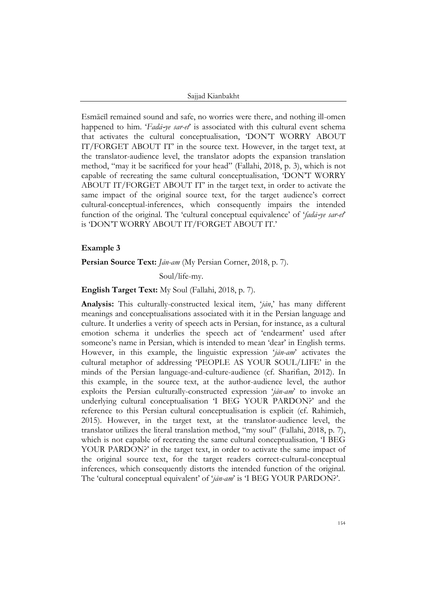Sajjad Kianbakht

Esmāeīl remained sound and safe, no worries were there, and nothing ill-omen happened to him. '*Fadā*-*ye sar-et*' is associated with this cultural event schema that activates the cultural conceptualisation, 'DON'T WORRY ABOUT IT/FORGET ABOUT IT' in the source text. However, in the target text, at the translator-audience level, the translator adopts the expansion translation method, "may it be sacrificed for your head" (Fallahi, 2018, p. 3), which is not capable of recreating the same cultural conceptualisation, 'DON'T WORRY ABOUT IT/FORGET ABOUT IT' in the target text, in order to activate the same impact of the original source text, for the target audience's correct cultural-conceptual-inferences, which consequently impairs the intended function of the original. The 'cultural conceptual equivalence' of '*fadā*-*ye sar-et*' is 'DON'T WORRY ABOUT IT/FORGET ABOUT IT.'

## **Example 3**

#### **Persian Source Text:** *Jān-am* (My Persian Corner, 2018, p. 7).

Soul/life-my.

## **English Target Text:** My Soul (Fallahi, 2018, p. 7).

**Analysis:** This culturally-constructed lexical item, '*jān*,' has many different meanings and conceptualisations associated with it in the Persian language and culture. It underlies a verity of speech acts in Persian, for instance, as a cultural emotion schema it underlies the speech act of 'endearment' used after someone's name in Persian, which is intended to mean 'dear' in English terms. However, in this example, the linguistic expression '*jān-am*' activates the cultural metaphor of addressing 'PEOPLE AS YOUR SOUL/LIFE' in the minds of the Persian language-and-culture-audience (cf. Sharifian, 2012). In this example, in the source text, at the author-audience level, the author exploits the Persian culturally-constructed expression '*jān-am*' to invoke an underlying cultural conceptualisation 'I BEG YOUR PARDON?' and the reference to this Persian cultural conceptualisation is explicit (cf. Rahimieh, 2015). However, in the target text, at the translator-audience level, the translator utilizes the literal translation method, "my soul" (Fallahi, 2018, p. 7), which is not capable of recreating the same cultural conceptualisation*,* 'I BEG YOUR PARDON?' in the target text, in order to activate the same impact of the original source text, for the target readers correct-cultural-conceptual inferences*,* which consequently distorts the intended function of the original. The 'cultural conceptual equivalent' of '*jān-am*' is 'I BEG YOUR PARDON?'.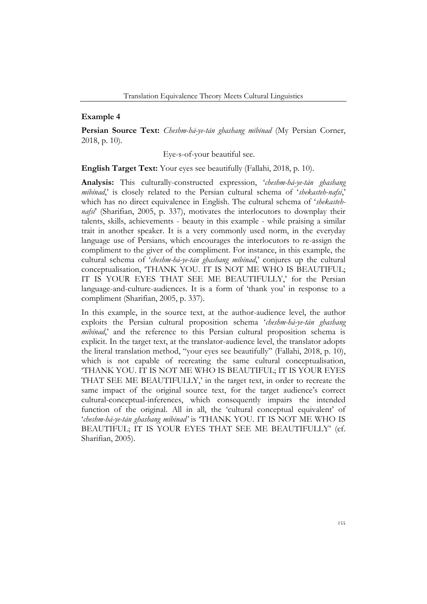### **Example 4**

**Persian Source Text:** *Cheshm-hā-ye-tān ghashang mībīnad* (My Persian Corner, 2018, p. 10).

Eye-s-of-your beautiful see.

**English Target Text:** Your eyes see beautifully (Fallahi, 2018, p. 10).

**Analysis:** This culturally-constructed expression, '*cheshm-hā-ye-tān ghashang mībīnad*,' is closely related to the Persian cultural schema of '*shekasteh-nafsī*,' which has no direct equivalence in English. The cultural schema of '*shekastehnafsī*' (Sharifian, 2005, p. 337), motivates the interlocutors to downplay their talents, skills, achievements - beauty in this example - while praising a similar trait in another speaker. It is a very commonly used norm, in the everyday language use of Persians, which encourages the interlocutors to re-assign the compliment to the giver of the compliment. For instance, in this example, the cultural schema of '*cheshm-hā-ye-tān ghashang mībīnad*,' conjures up the cultural conceptualisation, 'THANK YOU. IT IS NOT ME WHO IS BEAUTIFUL; IT IS YOUR EYES THAT SEE ME BEAUTIFULLY,' for the Persian language-and-culture-audiences. It is a form of 'thank you' in response to a compliment (Sharifian, 2005, p. 337).

In this example, in the source text, at the author-audience level, the author exploits the Persian cultural proposition schema '*cheshm-hā-ye-tān ghashang mībīnad*,' and the reference to this Persian cultural proposition schema is explicit. In the target text, at the translator-audience level, the translator adopts the literal translation method, "your eyes see beautifully" (Fallahi, 2018, p. 10), which is not capable of recreating the same cultural conceptualisation, 'THANK YOU. IT IS NOT ME WHO IS BEAUTIFUL; IT IS YOUR EYES THAT SEE ME BEAUTIFULLY,' in the target text, in order to recreate the same impact of the original source text, for the target audience's correct cultural-conceptual-inferences, which consequently impairs the intended function of the original. All in all, the 'cultural conceptual equivalent' of '*cheshm-hā-ye-tān ghashang mībīnad'* is 'THANK YOU. IT IS NOT ME WHO IS BEAUTIFUL; IT IS YOUR EYES THAT SEE ME BEAUTIFULLY' (cf. Sharifian, 2005).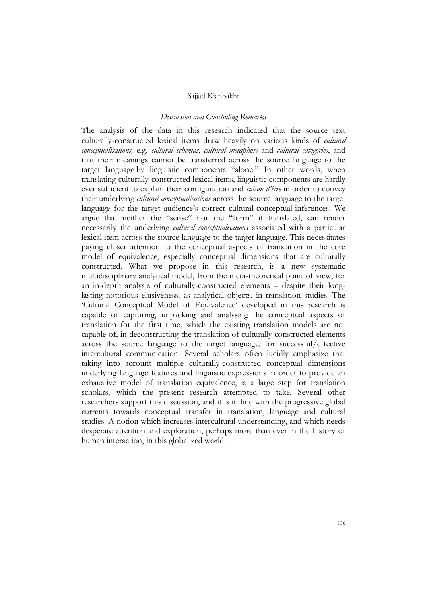#### Sajjad Kianbakht

#### *Discussion and Concluding Remarks*

The analysis of the data in this research indicated that the source text culturally-constructed lexical items draw heavily on various kinds of *cultural conceptualisations,* e.g. *cultural schemas*, *cultural metaphors* and *cultural categories*, and that their meanings cannot be transferred across the source language to the target language by linguistic components "alone." In other words, when translating culturally-constructed lexical items, linguistic components are hardly ever sufficient to explain their configuration and *raison d'être* in order to convey their underlying *cultural conceptualisations* across the source language to the target language for the target audience's correct cultural-conceptual-inferences. We argue that neither the "sense" nor the "form" if translated, can render necessarily the underlying *cultural conceptualisations* associated with a particular lexical item across the source language to the target language. This necessitates paying closer attention to the conceptual aspects of translation in the core model of equivalence, especially conceptual dimensions that are culturally constructed. What we propose in this research, is a new systematic multidisciplinary analytical model, from the meta-theoretical point of view, for an in-depth analysis of culturally-constructed elements – despite their longlasting notorious elusiveness, as analytical objects, in translation studies. The 'Cultural Conceptual Model of Equivalence' developed in this research is capable of capturing, unpacking and analysing the conceptual aspects of translation for the first time, which the existing translation models are not capable of, in deconstructing the translation of culturally-constructed elements across the source language to the target language, for successful/effective intercultural communication. Several scholars often lucidly emphasize that taking into account multiple culturally-constructed conceptual dimensions underlying language features and linguistic expressions in order to provide an exhaustive model of translation equivalence, is a large step for translation scholars, which the present research attempted to take. Several other researchers support this discussion, and it is in line with the progressive global currents towards conceptual transfer in translation, language and cultural studies. A notion which increases intercultural understanding, and which needs desperate attention and exploration, perhaps more than ever in the history of human interaction, in this globalized world.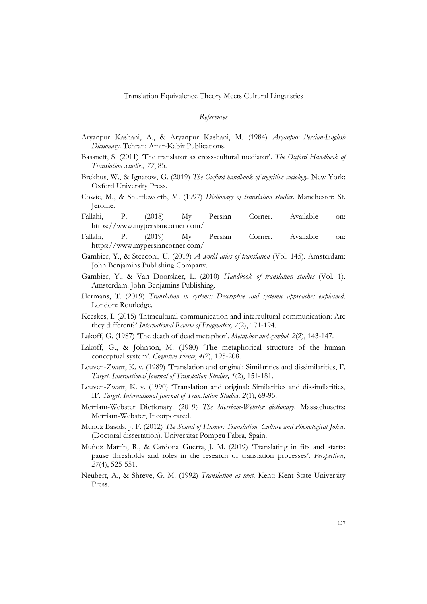#### *References*

- Aryanpur Kashani, A., & Aryanpur Kashani, M. (1984) *Aryanpur Persian-English Dictionary*. Tehran: Amir-Kabir Publications.
- Bassnett, S. (2011) 'The translator as cross-cultural mediator'. *The Oxford Handbook of Translation Studies, 77*, 85.
- Brekhus, W., & Ignatow, G. (2019) *The Oxford handbook of cognitive sociology*. New York: Oxford University Press.
- Cowie, M., & Shuttleworth, M. (1997) *Dictionary of translation studies*. Manchester: St. Jerome.
- Fallahi, P. (2018) My Persian Corner. Available on: <https://www.mypersiancorner.com/>
- Fallahi, P. (2019) My Persian Corner. Available on: <https://www.mypersiancorner.com/>
- Gambier, Y., & Stecconi, U. (2019) *A world atlas of translation* (Vol. 145). Amsterdam: John Benjamins Publishing Company.
- Gambier, Y., & Van Doorslaer, L. (2010) *Handbook of translation studies* (Vol. 1). Amsterdam: John Benjamins Publishing.
- Hermans, T. (2019) *Translation in systems: Descriptive and systemic approaches explained*. London: Routledge.
- Kecskes, I. (2015) 'Intracultural communication and intercultural communication: Are they different?' *International Review of Pragmatics, 7*(2), 171-194.
- Lakoff, G. (1987) 'The death of dead metaphor'. *Metaphor and symbol, 2*(2), 143-147.
- Lakoff, G., & Johnson, M. (1980) 'The metaphorical structure of the human conceptual system'. *Cognitive science, 4*(2), 195-208.
- Leuven-Zwart, K. v. (1989) 'Translation and original: Similarities and dissimilarities, I'. *Target. International Journal of Translation Studies, 1*(2), 151-181.
- Leuven-Zwart, K. v. (1990) 'Translation and original: Similarities and dissimilarities, II'. *Target. International Journal of Translation Studies, 2*(1), 69-95.
- Merriam-Webster Dictionary. (2019) *The Merriam-Webster dictionary*. Massachusetts: Merriam-Webster, Incorporated.
- Munoz Basols, J. F. (2012) *The Sound of Humor: Translation, Culture and Phonological Jokes.* (Doctoral dissertation). Universitat Pompeu Fabra, Spain.
- Muñoz Martín, R., & Cardona Guerra, J. M. (2019) 'Translating in fits and starts: pause thresholds and roles in the research of translation processes'. *Perspectives, 27*(4), 525-551.
- Neubert, A., & Shreve, G. M. (1992) *Translation as text.* Kent: Kent State University Press.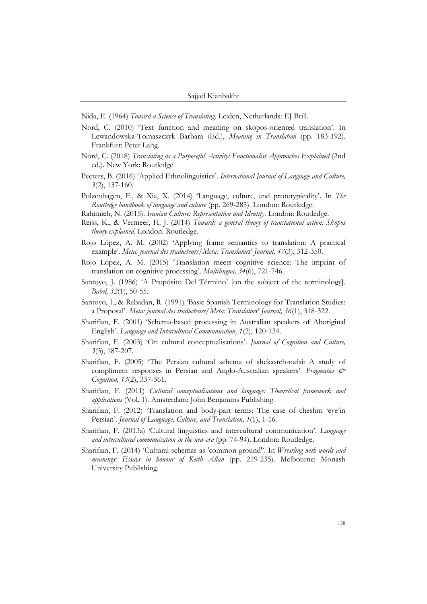Nida, E. (1964) *Toward a Science of Translating*. Leiden, Netherlands: EJ Brill.

- Nord, C. (2010) 'Text function and meaning on skopos-oriented translation'. In Lewandowska-Tomaszczyk Barbara (Ed.), *Meaning in Translation* (pp. 183-192). Frankfurt: Peter Lang.
- Nord, C. (2018) *Translating as a Purposeful Activity: Functionalist Approaches Explained* (2nd ed.). New York: Routledge.
- Peeters, B. (2016) 'Applied Ethnolinguistics'. *International Journal of Language and Culture, 3*(2), 137-160.
- Polzenhagen, F., & Xia, X. (2014) 'Language, culture, and prototypicality'. In *The Routledge handbook of language and culture* (pp. 269-285). London: Routledge.
- Rahimieh, N. (2015). *Iranian Culture: Representation and Identity*. London: Routledge.
- Reiss, K., & Vermeer, H. J. (2014) *Towards a general theory of translational action: Skopos theory explained*. London: Routledge.
- Rojo López, A. M. (2002) 'Applying frame semantics to translation: A practical example'. *Meta: journal des traducteurs/Meta: Translators' Journal, 47*(3), 312-350.
- Rojo López, A. M. (2015) 'Translation meets cognitive science: The imprint of translation on cognitive processing'. *Multilingua, 34*(6), 721-746.
- Santoyo, J. (1986) 'A Propósito Del Término' [on the subject of the terminology]. *Babel, 32*(1), 50-55.
- Santoyo, J., & Rabadan, R. (1991) 'Basic Spanish Terminology for Translation Studies: a Proposal'. *Meta: journal des traducteurs/Meta: Translators' Journal, 36*(1), 318-322.
- Sharifian, F. (2001) 'Schema-based processing in Australian speakers of Aboriginal English'. *Language and Intercultural Communication, 1*(2), 120-134.
- Sharifian, F. (2003) 'On cultural conceptualisations'. *Journal of Cognition and Culture, 3*(3), 187-207.
- Sharifian, F. (2005) 'The Persian cultural schema of shekasteh-nafsi: A study of compliment responses in Persian and Anglo-Australian speakers'. *Pragmatics & Cognition, 13*(2), 337-361.
- Sharifian, F. (2011) *Cultural conceptualisations and language: Theoretical framework and applications* (Vol. 1). Amsterdam: John Benjamins Publishing.
- Sharifian, F. (2012) 'Translation and body-part terms: The case of cheshm 'eye'in Persian'. *Journal of Language, Culture, and Translation, 1*(1), 1-16.
- Sharifian, F. (2013a) 'Cultural linguistics and intercultural communication'. *Language and intercultural communication in the new era* (pp. 74-94). London: Routledge.
- Sharifian, F. (2014) 'Cultural schemas as 'common ground''. In *Wrestling with words and meanings: Essays in honour of Keith Allan* (pp. 219-235). Melbourne: Monash University Publishing.